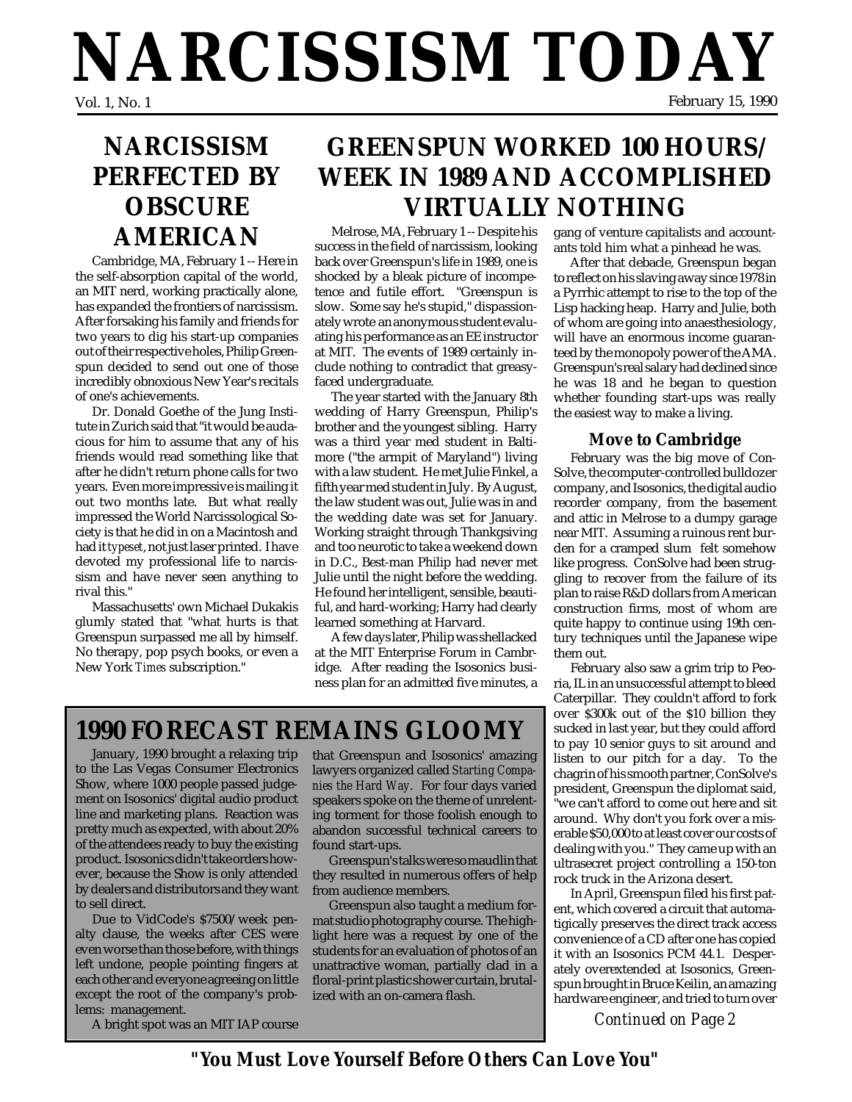# **NARCISSISM TODAY** February 15, 1990

# **NARCISSISM PERFECTED BY OBSCURE AMERICAN**

Cambridge, MA, February 1 -- Here in the self-absorption capital of the world, an MIT nerd, working practically alone, has expanded the frontiers of narcissism. After forsaking his family and friends for two years to dig his start-up companies out of their respective holes, Philip Greenspun decided to send out one of those incredibly obnoxious New Year's recitals of one's achievements.

Dr. Donald Goethe of the Jung Institute in Zurich said that "it would be audacious for him to assume that any of his friends would read something like that after he didn't return phone calls for two years. Even more impressive is mailing it out two months late. But what really impressed the World Narcissological Society is that he did in on a Macintosh and had it *typeset*, not just laser printed. I have devoted my professional life to narcissism and have never seen anything to rival this."

Massachusetts' own Michael Dukakis glumly stated that "what hurts is that Greenspun surpassed me all by himself. No therapy, pop psych books, or even a New York *Times* subscription."

# **GREENSPUN WORKED 100 HOURS/ WEEK IN 1989 AND ACCOMPLISHED VIRTUALLY NOTHING**

Melrose, MA, February 1 -- Despite his success in the field of narcissism, looking back over Greenspun's life in 1989, one is shocked by a bleak picture of incompetence and futile effort. "Greenspun is slow. Some say he's stupid," dispassionately wrote an anonymous student evaluating his performance as an EE instructor at MIT. The events of 1989 certainly include nothing to contradict that greasyfaced undergraduate.

The year started with the January 8th wedding of Harry Greenspun, Philip's brother and the youngest sibling. Harry was a third year med student in Baltimore ("the armpit of Maryland") living with a law student. He met Julie Finkel, a fifth year med student in July. By August, the law student was out, Julie was in and the wedding date was set for January. Working straight through Thankgsiving and too neurotic to take a weekend down in D.C., Best-man Philip had never met Julie until the night before the wedding. He found her intelligent, sensible, beautiful, and hard-working; Harry had clearly learned something at Harvard.

A few days later, Philip was shellacked at the MIT Enterprise Forum in Cambridge. After reading the Isosonics business plan for an admitted five minutes, a

## **1990 FORECAST REMAINS GLOOMY**

January, 1990 brought a relaxing trip to the Las Vegas Consumer Electronics Show, where 1000 people passed judgement on Isosonics' digital audio product line and marketing plans. Reaction was pretty much as expected, with about 20% of the attendees ready to buy the existing product. Isosonics didn't take orders however, because the Show is only attended by dealers and distributors and they want to sell direct.

Due to VidCode's \$7500/week penalty clause, the weeks after CES were even worse than those before, with things left undone, people pointing fingers at each other and everyone agreeing on little except the root of the company's problems: management.

A bright spot was an MIT IAP course

that Greenspun and Isosonics' amazing lawyers organized called *Starting Companies the Hard Way*. For four days varied speakers spoke on the theme of unrelenting torment for those foolish enough to abandon successful technical careers to found start-ups.

Greenspun's talks were so maudlin that they resulted in numerous offers of help from audience members.

Greenspun also taught a medium format studio photography course. The highlight here was a request by one of the students for an evaluation of photos of an unattractive woman, partially clad in a floral-print plastic shower curtain, brutalized with an on-camera flash.

gang of venture capitalists and accountants told him what a pinhead he was.

After that debacle, Greenspun began to reflect on his slaving away since 1978 in a Pyrrhic attempt to rise to the top of the Lisp hacking heap. Harry and Julie, both of whom are going into anaesthesiology, will have an enormous income guaranteed by the monopoly power of the AMA. Greenspun's real salary had declined since he was 18 and he began to question whether founding start-ups was really the easiest way to make a living.

#### **Move to Cambridge**

February was the big move of Con-Solve, the computer-controlled bulldozer company, and Isosonics, the digital audio recorder company, from the basement and attic in Melrose to a dumpy garage near MIT. Assuming a ruinous rent burden for a cramped slum felt somehow like progress. ConSolve had been struggling to recover from the failure of its plan to raise R&D dollars from American construction firms, most of whom are quite happy to continue using 19th century techniques until the Japanese wipe them out.

February also saw a grim trip to Peoria, IL in an unsuccessful attempt to bleed Caterpillar. They couldn't afford to fork over \$300k out of the \$10 billion they sucked in last year, but they could afford to pay 10 senior guys to sit around and listen to our pitch for a day. To the chagrin of his smooth partner, ConSolve's president, Greenspun the diplomat said, "we can't afford to come out here and sit around. Why don't you fork over a miserable \$50,000 to at least cover our costs of dealing with you." They came up with an ultrasecret project controlling a 150-ton rock truck in the Arizona desert.

In April, Greenspun filed his first patent, which covered a circuit that automatigically preserves the direct track access convenience of a CD after one has copied it with an Isosonics PCM 44.1. Desperately overextended at Isosonics, Greenspun brought in Bruce Keilin, an amazing hardware engineer, and tried to turn over

*Continued on Page 2*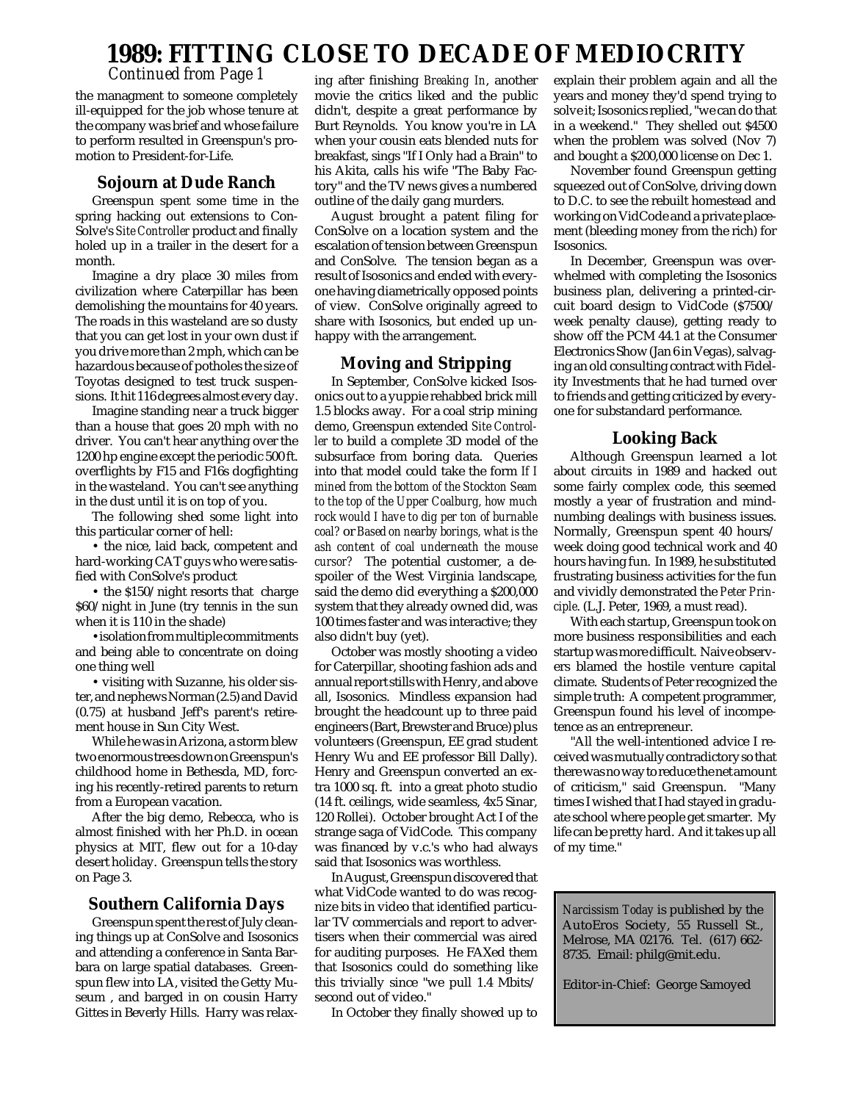### **1989: FITTING CLOSE TO DECADE OF MEDIOCRITY**

*Continued from Page 1*

the managment to someone completely ill-equipped for the job whose tenure at the company was brief and whose failure to perform resulted in Greenspun's promotion to President-for-Life.

#### **Sojourn at Dude Ranch**

Greenspun spent some time in the spring hacking out extensions to Con-Solve's *Site Controller* product and finally holed up in a trailer in the desert for a month.

Imagine a dry place 30 miles from civilization where Caterpillar has been demolishing the mountains for 40 years. The roads in this wasteland are so dusty that you can get lost in your own dust if you drive more than 2 mph, which can be hazardous because of potholes the size of Toyotas designed to test truck suspensions. It hit 116 degrees almost every day.

Imagine standing near a truck bigger than a house that goes 20 mph with no driver. You can't hear anything over the 1200 hp engine except the periodic 500 ft. overflights by F15 and F16s dogfighting in the wasteland. You can't see anything in the dust until it is on top of you.

The following shed some light into this particular corner of hell:

• the nice, laid back, competent and hard-working CAT guys who were satisfied with ConSolve's product

• the \$150/night resorts that charge \$60/night in June (try tennis in the sun when it is 110 in the shade)

•isolation from multiple commitments and being able to concentrate on doing one thing well

• visiting with Suzanne, his older sister, and nephews Norman (2.5) and David (0.75) at husband Jeff's parent's retirement house in Sun City West.

While he was in Arizona, a storm blew two enormous trees down on Greenspun's childhood home in Bethesda, MD, forcing his recently-retired parents to return from a European vacation.

After the big demo, Rebecca, who is almost finished with her Ph.D. in ocean physics at MIT, flew out for a 10-day desert holiday. Greenspun tells the story on Page 3.

#### **Southern California Days**

Greenspun spent the rest of July cleaning things up at ConSolve and Isosonics and attending a conference in Santa Barbara on large spatial databases. Greenspun flew into LA, visited the Getty Museum , and barged in on cousin Harry Gittes in Beverly Hills. Harry was relax-

ing after finishing *Breaking In*, another movie the critics liked and the public didn't, despite a great performance by Burt Reynolds. You know you're in LA when your cousin eats blended nuts for breakfast, sings "If I Only had a Brain" to his Akita, calls his wife "The Baby Factory" and the TV news gives a numbered outline of the daily gang murders.

August brought a patent filing for ConSolve on a location system and the escalation of tension between Greenspun and ConSolve. The tension began as a result of Isosonics and ended with everyone having diametrically opposed points of view. ConSolve originally agreed to share with Isosonics, but ended up unhappy with the arrangement.

#### **Moving and Stripping**

In September, ConSolve kicked Isosonics out to a yuppie rehabbed brick mill 1.5 blocks away. For a coal strip mining demo, Greenspun extended *Site Controller* to build a complete 3D model of the subsurface from boring data. Queries into that model could take the form *If I mined from the bottom of the Stockton Seam to the top of the Upper Coalburg, how much rock would I have to dig per ton of burnable coal?* or *Based on nearby borings, what is the ash content of coal underneath the mouse cursor?* The potential customer, a despoiler of the West Virginia landscape, said the demo did everything a \$200,000 system that they already owned did, was 100 times faster and was interactive; they also didn't buy (yet).

October was mostly shooting a video for Caterpillar, shooting fashion ads and annual report stills with Henry, and above all, Isosonics. Mindless expansion had brought the headcount up to three paid engineers (Bart, Brewster and Bruce) plus volunteers (Greenspun, EE grad student Henry Wu and EE professor Bill Dally). Henry and Greenspun converted an extra 1000 sq. ft. into a great photo studio (14 ft. ceilings, wide seamless, 4x5 Sinar, 120 Rollei). October brought Act I of the strange saga of VidCode. This company was financed by v.c.'s who had always said that Isosonics was worthless.

In August, Greenspun discovered that what VidCode wanted to do was recognize bits in video that identified particular TV commercials and report to advertisers when their commercial was aired for auditing purposes. He FAXed them that Isosonics could do something like this trivially since "we pull 1.4 Mbits/ second out of video."

In October they finally showed up to

explain their problem again and all the years and money they'd spend trying to solve it; Isosonics replied, "we can do that in a weekend." They shelled out \$4500 when the problem was solved (Nov 7) and bought a \$200,000 license on Dec 1.

November found Greenspun getting squeezed out of ConSolve, driving down to D.C. to see the rebuilt homestead and working on VidCode and a private placement (bleeding money from the rich) for Isosonics.

In December, Greenspun was overwhelmed with completing the Isosonics business plan, delivering a printed-circuit board design to VidCode (\$7500/ week penalty clause), getting ready to show off the PCM 44.1 at the Consumer Electronics Show (Jan 6 in Vegas), salvaging an old consulting contract with Fidelity Investments that he had turned over to friends and getting criticized by everyone for substandard performance.

#### **Looking Back**

Although Greenspun learned a lot about circuits in 1989 and hacked out some fairly complex code, this seemed mostly a year of frustration and mindnumbing dealings with business issues. Normally, Greenspun spent 40 hours/ week doing good technical work and 40 hours having fun. In 1989, he substituted frustrating business activities for the fun and vividly demonstrated the *Peter Principle*. (L.J. Peter, 1969, a must read).

With each startup, Greenspun took on more business responsibilities and each startup was more difficult. Naive observers blamed the hostile venture capital climate. Students of Peter recognized the simple truth: A competent programmer, Greenspun found his level of incompetence as an entrepreneur.

"All the well-intentioned advice I received was mutually contradictory so that there was no way to reduce the net amount of criticism," said Greenspun. "Many times I wished that I had stayed in graduate school where people get smarter. My life can be pretty hard. And it takes up all of my time."

*Narcissism Today* is published by the AutoEros Society, 55 Russell St., Melrose, MA 02176. Tel. (617) 662- 8735. Email: philg@mit.edu.

Editor-in-Chief: George Samoyed